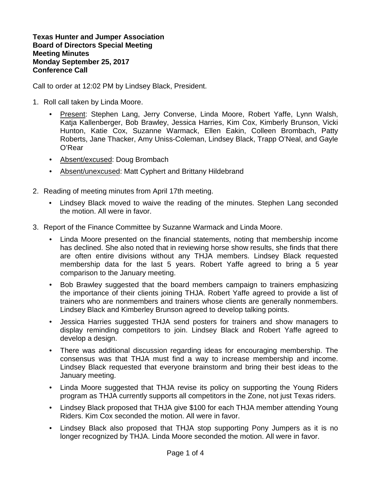**Texas Hunter and Jumper Association Board of Directors Special Meeting Meeting Minutes Monday September 25, 2017 Conference Call**

Call to order at 12:02 PM by Lindsey Black, President.

- 1. Roll call taken by Linda Moore.
	- Present: Stephen Lang, Jerry Converse, Linda Moore, Robert Yaffe, Lynn Walsh, Katja Kallenberger, Bob Brawley, Jessica Harries, Kim Cox, Kimberly Brunson, Vicki Hunton, Katie Cox, Suzanne Warmack, Ellen Eakin, Colleen Brombach, Patty Roberts, Jane Thacker, Amy Uniss-Coleman, Lindsey Black, Trapp O'Neal, and Gayle O'Rear
	- Absent/excused: Doug Brombach
	- Absent/unexcused: Matt Cyphert and Brittany Hildebrand
- 2. Reading of meeting minutes from April 17th meeting.
	- Lindsey Black moved to waive the reading of the minutes. Stephen Lang seconded the motion. All were in favor.
- 3. Report of the Finance Committee by Suzanne Warmack and Linda Moore.
	- Linda Moore presented on the financial statements, noting that membership income has declined. She also noted that in reviewing horse show results, she finds that there are often entire divisions without any THJA members. Lindsey Black requested membership data for the last 5 years. Robert Yaffe agreed to bring a 5 year comparison to the January meeting.
	- Bob Brawley suggested that the board members campaign to trainers emphasizing the importance of their clients joining THJA. Robert Yaffe agreed to provide a list of trainers who are nonmembers and trainers whose clients are generally nonmembers. Lindsey Black and Kimberley Brunson agreed to develop talking points.
	- Jessica Harries suggested THJA send posters for trainers and show managers to display reminding competitors to join. Lindsey Black and Robert Yaffe agreed to develop a design.
	- There was additional discussion regarding ideas for encouraging membership. The consensus was that THJA must find a way to increase membership and income. Lindsey Black requested that everyone brainstorm and bring their best ideas to the January meeting.
	- Linda Moore suggested that THJA revise its policy on supporting the Young Riders program as THJA currently supports all competitors in the Zone, not just Texas riders.
	- Lindsey Black proposed that THJA give \$100 for each THJA member attending Young Riders. Kim Cox seconded the motion. All were in favor.
	- Lindsey Black also proposed that THJA stop supporting Pony Jumpers as it is no longer recognized by THJA. Linda Moore seconded the motion. All were in favor.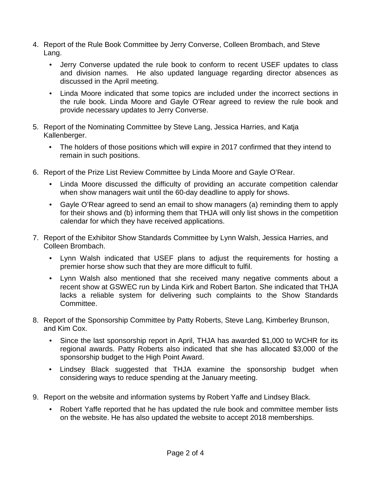- 4. Report of the Rule Book Committee by Jerry Converse, Colleen Brombach, and Steve Lang.
	- Jerry Converse updated the rule book to conform to recent USEF updates to class and division names. He also updated language regarding director absences as discussed in the April meeting.
	- Linda Moore indicated that some topics are included under the incorrect sections in the rule book. Linda Moore and Gayle O'Rear agreed to review the rule book and provide necessary updates to Jerry Converse.
- 5. Report of the Nominating Committee by Steve Lang, Jessica Harries, and Katja Kallenberger.
	- The holders of those positions which will expire in 2017 confirmed that they intend to remain in such positions.
- 6. Report of the Prize List Review Committee by Linda Moore and Gayle O'Rear.
	- Linda Moore discussed the difficulty of providing an accurate competition calendar when show managers wait until the 60-day deadline to apply for shows.
	- Gayle O'Rear agreed to send an email to show managers (a) reminding them to apply for their shows and (b) informing them that THJA will only list shows in the competition calendar for which they have received applications.
- 7. Report of the Exhibitor Show Standards Committee by Lynn Walsh, Jessica Harries, and Colleen Brombach.
	- Lynn Walsh indicated that USEF plans to adjust the requirements for hosting a premier horse show such that they are more difficult to fulfil.
	- Lynn Walsh also mentioned that she received many negative comments about a recent show at GSWEC run by Linda Kirk and Robert Barton. She indicated that THJA lacks a reliable system for delivering such complaints to the Show Standards Committee.
- 8. Report of the Sponsorship Committee by Patty Roberts, Steve Lang, Kimberley Brunson, and Kim Cox.
	- Since the last sponsorship report in April, THJA has awarded \$1,000 to WCHR for its regional awards. Patty Roberts also indicated that she has allocated \$3,000 of the sponsorship budget to the High Point Award.
	- Lindsey Black suggested that THJA examine the sponsorship budget when considering ways to reduce spending at the January meeting.
- 9. Report on the website and information systems by Robert Yaffe and Lindsey Black.
	- Robert Yaffe reported that he has updated the rule book and committee member lists on the website. He has also updated the website to accept 2018 memberships.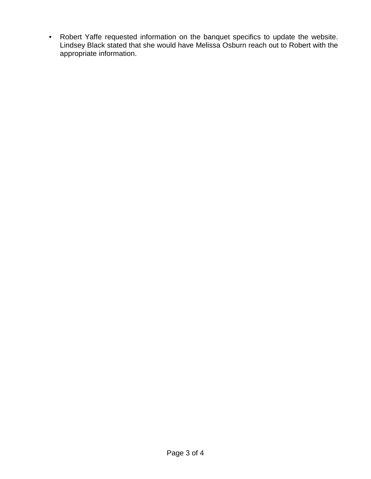• Robert Yaffe requested information on the banquet specifics to update the website. Lindsey Black stated that she would have Melissa Osburn reach out to Robert with the appropriate information.